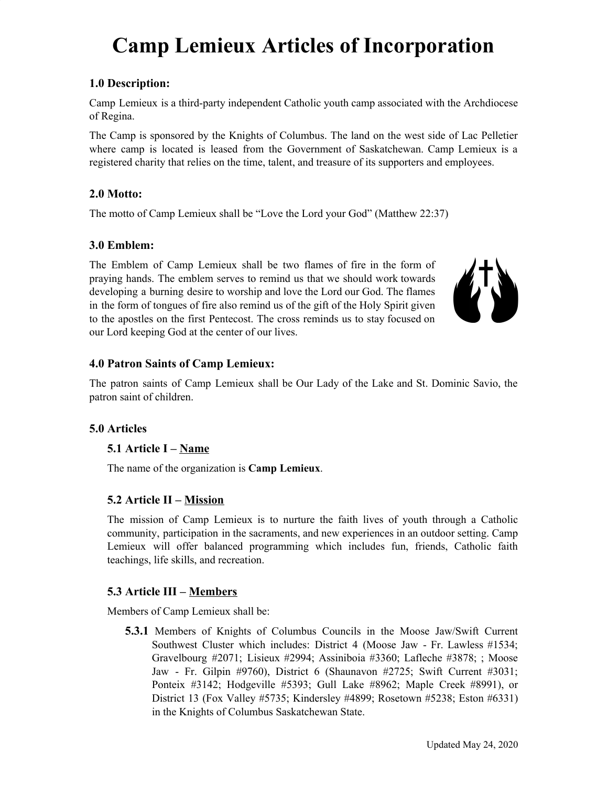# **Camp Lemieux Articles of Incorporation**

## **1.0 Description:**

Camp Lemieux is a third-party independent Catholic youth camp associated with the Archdiocese of Regina.

The Camp is sponsored by the Knights of Columbus. The land on the west side of Lac Pelletier where camp is located is leased from the Government of Saskatchewan. Camp Lemieux is a registered charity that relies on the time, talent, and treasure of its supporters and employees.

## **2.0 Motto:**

The motto of Camp Lemieux shall be "Love the Lord your God" (Matthew 22:37)

### **3.0 Emblem:**

The Emblem of Camp Lemieux shall be two flames of fire in the form of praying hands. The emblem serves to remind us that we should work towards developing a burning desire to worship and love the Lord our God. The flames in the form of tongues of fire also remind us of the gift of the Holy Spirit given to the apostles on the first Pentecost. The cross reminds us to stay focused on our Lord keeping God at the center of our lives.



## **4.0 Patron Saints of Camp Lemieux:**

The patron saints of Camp Lemieux shall be Our Lady of the Lake and St. Dominic Savio, the patron saint of children.

### **5.0 Articles**

### **5.1 Article I – Name**

The name of the organization is **Camp Lemieux**.

## **5.2 Article II – Mission**

The mission of Camp Lemieux is to nurture the faith lives of youth through a Catholic community, participation in the sacraments, and new experiences in an outdoor setting. Camp Lemieux will offer balanced programming which includes fun, friends, Catholic faith teachings, life skills, and recreation.

### **5.3 Article III – Members**

Members of Camp Lemieux shall be:

**5.3.1** Members of Knights of Columbus Councils in the Moose Jaw/Swift Current Southwest Cluster which includes: District 4 (Moose Jaw - Fr. Lawless #1534; Gravelbourg #2071; Lisieux #2994; Assiniboia #3360; Lafleche #3878; ; Moose Jaw - Fr. Gilpin #9760), District 6 (Shaunavon #2725; Swift Current #3031; Ponteix #3142; Hodgeville #5393; Gull Lake #8962; Maple Creek #8991), or District 13 (Fox Valley #5735; Kindersley #4899; Rosetown #5238; Eston #6331) in the Knights of Columbus Saskatchewan State.